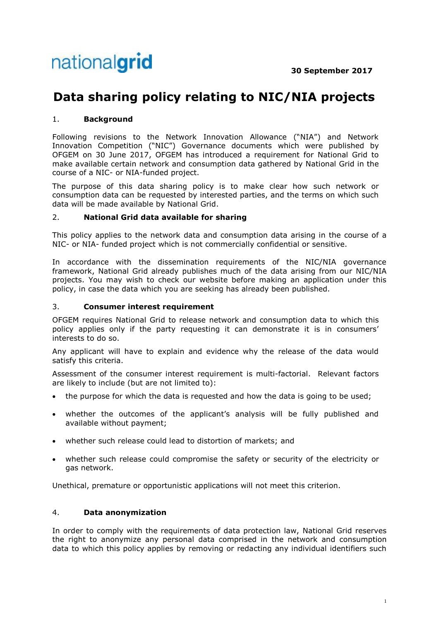# **Data sharing policy relating to NIC/NIA projects**

# 1. **Background**

Following revisions to the Network Innovation Allowance ("NIA") and Network Innovation Competition ("NIC") Governance documents which were published by OFGEM on 30 June 2017, OFGEM has introduced a requirement for National Grid to make available certain network and consumption data gathered by National Grid in the course of a NIC- or NIA-funded project.

The purpose of this data sharing policy is to make clear how such network or consumption data can be requested by interested parties, and the terms on which such data will be made available by National Grid.

## 2. **National Grid data available for sharing**

This policy applies to the network data and consumption data arising in the course of a NIC- or NIA- funded project which is not commercially confidential or sensitive.

In accordance with the dissemination requirements of the NIC/NIA governance framework, National Grid already publishes much of the data arising from our NIC/NIA projects. You may wish to check our website before making an application under this policy, in case the data which you are seeking has already been published.

#### 3. **Consumer interest requirement**

OFGEM requires National Grid to release network and consumption data to which this policy applies only if the party requesting it can demonstrate it is in consumers' interests to do so.

Any applicant will have to explain and evidence why the release of the data would satisfy this criteria.

Assessment of the consumer interest requirement is multi-factorial. Relevant factors are likely to include (but are not limited to):

- the purpose for which the data is requested and how the data is going to be used;
- whether the outcomes of the applicant's analysis will be fully published and available without payment;
- whether such release could lead to distortion of markets; and
- whether such release could compromise the safety or security of the electricity or gas network.

Unethical, premature or opportunistic applications will not meet this criterion.

## 4. **Data anonymization**

In order to comply with the requirements of data protection law, National Grid reserves the right to anonymize any personal data comprised in the network and consumption data to which this policy applies by removing or redacting any individual identifiers such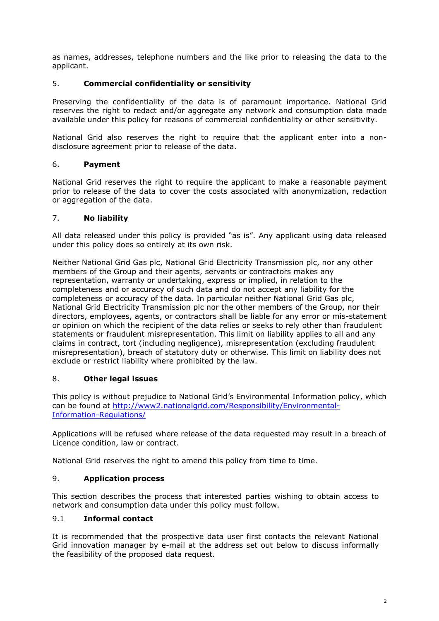as names, addresses, telephone numbers and the like prior to releasing the data to the applicant.

## 5. **Commercial confidentiality or sensitivity**

Preserving the confidentiality of the data is of paramount importance. National Grid reserves the right to redact and/or aggregate any network and consumption data made available under this policy for reasons of commercial confidentiality or other sensitivity.

National Grid also reserves the right to require that the applicant enter into a nondisclosure agreement prior to release of the data.

#### 6. **Payment**

National Grid reserves the right to require the applicant to make a reasonable payment prior to release of the data to cover the costs associated with anonymization, redaction or aggregation of the data.

#### 7. **No liability**

All data released under this policy is provided "as is". Any applicant using data released under this policy does so entirely at its own risk.

Neither National Grid Gas plc, National Grid Electricity Transmission plc, nor any other members of the Group and their agents, servants or contractors makes any representation, warranty or undertaking, express or implied, in relation to the completeness and or accuracy of such data and do not accept any liability for the completeness or accuracy of the data. In particular neither National Grid Gas plc, National Grid Electricity Transmission plc nor the other members of the Group, nor their directors, employees, agents, or contractors shall be liable for any error or mis-statement or opinion on which the recipient of the data relies or seeks to rely other than fraudulent statements or fraudulent misrepresentation. This limit on liability applies to all and any claims in contract, tort (including negligence), misrepresentation (excluding fraudulent misrepresentation), breach of statutory duty or otherwise. This limit on liability does not exclude or restrict liability where prohibited by the law.

#### 8. **Other legal issues**

This policy is without prejudice to National Grid's Environmental Information policy, which can be found at [http://www2.nationalgrid.com/Responsibility/Environmental-](http://www2.nationalgrid.com/Responsibility/Environmental-Information-Regulations/)[Information-Regulations/](http://www2.nationalgrid.com/Responsibility/Environmental-Information-Regulations/)

Applications will be refused where release of the data requested may result in a breach of Licence condition, law or contract.

National Grid reserves the right to amend this policy from time to time.

#### 9. **Application process**

This section describes the process that interested parties wishing to obtain access to network and consumption data under this policy must follow.

## 9.1 **Informal contact**

It is recommended that the prospective data user first contacts the relevant National Grid innovation manager by e-mail at the address set out below to discuss informally the feasibility of the proposed data request.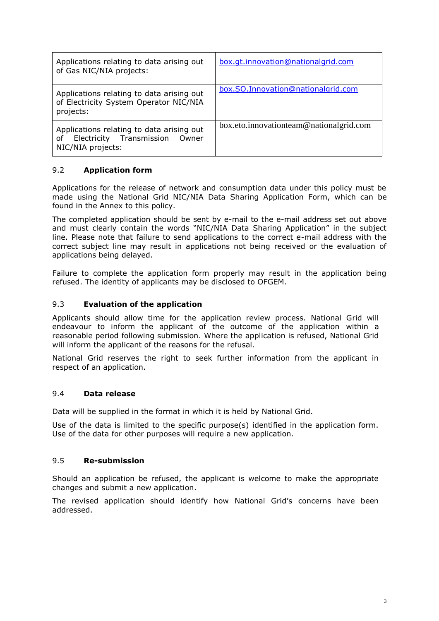| Applications relating to data arising out<br>of Gas NIC/NIA projects:                                     | box.gt.innovation@nationalgrid.com      |
|-----------------------------------------------------------------------------------------------------------|-----------------------------------------|
| Applications relating to data arising out<br>of Electricity System Operator NIC/NIA<br>projects:          | box.SO.Innovation@nationalgrid.com      |
| Applications relating to data arising out<br>Electricity Transmission<br>of<br>Owner<br>NIC/NIA projects: | box.eto.innovationteam@nationalgrid.com |

# 9.2 **Application form**

Applications for the release of network and consumption data under this policy must be made using the National Grid NIC/NIA Data Sharing Application Form, which can be found in the Annex to this policy.

The completed application should be sent by e-mail to the e-mail address set out above and must clearly contain the words "NIC/NIA Data Sharing Application" in the subject line. Please note that failure to send applications to the correct e-mail address with the correct subject line may result in applications not being received or the evaluation of applications being delayed.

Failure to complete the application form properly may result in the application being refused. The identity of applicants may be disclosed to OFGEM.

## 9.3 **Evaluation of the application**

Applicants should allow time for the application review process. National Grid will endeavour to inform the applicant of the outcome of the application within a reasonable period following submission. Where the application is refused, National Grid will inform the applicant of the reasons for the refusal.

National Grid reserves the right to seek further information from the applicant in respect of an application.

#### 9.4 **Data release**

Data will be supplied in the format in which it is held by National Grid.

Use of the data is limited to the specific purpose(s) identified in the application form. Use of the data for other purposes will require a new application.

#### 9.5 **Re-submission**

Should an application be refused, the applicant is welcome to make the appropriate changes and submit a new application.

The revised application should identify how National Grid's concerns have been addressed.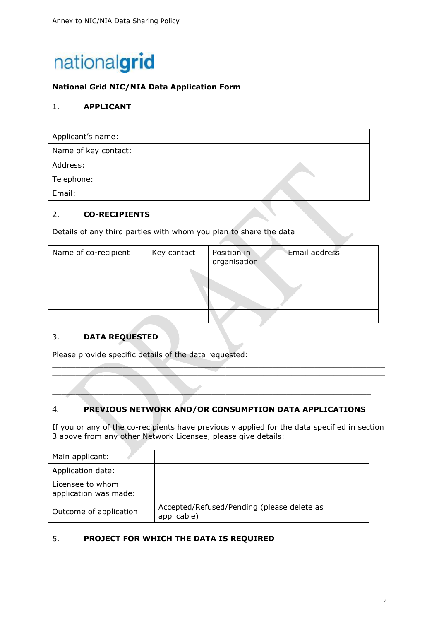

# **National Grid NIC/NIA Data Application Form**

## 1. **APPLICANT**

| Applicant's name:    |  |
|----------------------|--|
| Name of key contact: |  |
| Address:             |  |
| Telephone:           |  |
| Email:               |  |

#### 2. **CO-RECIPIENTS**

Details of any third parties with whom you plan to share the data

| Name of co-recipient | Key contact | Position in<br>organisation | Email address |
|----------------------|-------------|-----------------------------|---------------|
|                      |             |                             |               |
|                      |             |                             |               |
|                      |             |                             |               |
|                      |             |                             |               |

## 3. **DATA REQUESTED**

Please provide specific details of the data requested:

## 4. **PREVIOUS NETWORK AND/OR CONSUMPTION DATA APPLICATIONS**

If you or any of the co-recipients have previously applied for the data specified in section 3 above from any other Network Licensee, please give details:

 $\overbrace{\phantom{xxxxx}}$  $\overline{\phantom{a}}$  , and the contribution of the contribution of the contribution of the contribution of the contribution of the contribution of the contribution of the contribution of the contribution of the contribution of the  $\mathcal{L}=\mathcal{L}=\mathcal{L}=\mathcal{L}=\mathcal{L}=\mathcal{L}=\mathcal{L}=\mathcal{L}=\mathcal{L}=\mathcal{L}=\mathcal{L}=\mathcal{L}=\mathcal{L}=\mathcal{L}=\mathcal{L}=\mathcal{L}=\mathcal{L}=\mathcal{L}=\mathcal{L}=\mathcal{L}=\mathcal{L}=\mathcal{L}=\mathcal{L}=\mathcal{L}=\mathcal{L}=\mathcal{L}=\mathcal{L}=\mathcal{L}=\mathcal{L}=\mathcal{L}=\mathcal{L}=\mathcal{L}=\mathcal{L}=\mathcal{L}=\mathcal{L}=\mathcal{L}=\mathcal{$  $\overline{\phantom{a}}$  ,  $\overline{\phantom{a}}$  ,  $\overline{\phantom{a}}$  ,  $\overline{\phantom{a}}$  ,  $\overline{\phantom{a}}$  ,  $\overline{\phantom{a}}$  ,  $\overline{\phantom{a}}$  ,  $\overline{\phantom{a}}$  ,  $\overline{\phantom{a}}$  ,  $\overline{\phantom{a}}$  ,  $\overline{\phantom{a}}$  ,  $\overline{\phantom{a}}$  ,  $\overline{\phantom{a}}$  ,  $\overline{\phantom{a}}$  ,  $\overline{\phantom{a}}$  ,  $\overline{\phantom{a}}$ 

| Main applicant:                           |                                                           |
|-------------------------------------------|-----------------------------------------------------------|
| Application date:                         |                                                           |
| Licensee to whom<br>application was made: |                                                           |
| Outcome of application                    | Accepted/Refused/Pending (please delete as<br>applicable) |

## 5. **PROJECT FOR WHICH THE DATA IS REQUIRED**